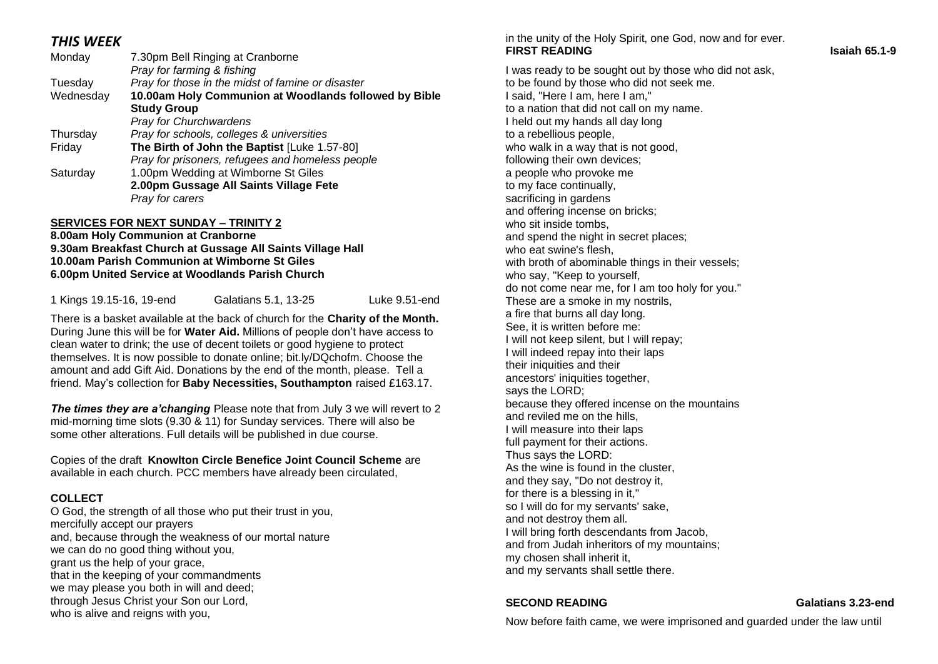# *THIS WEEK*

| Monday    | 7.30pm Bell Ringing at Cranborne<br>Pray for farming & fishing |
|-----------|----------------------------------------------------------------|
| Tuesday   | Pray for those in the midst of famine or disaster              |
| Wednesday | 10.00am Holy Communion at Woodlands followed by Bible          |
|           | <b>Study Group</b>                                             |
|           | <b>Pray for Churchwardens</b>                                  |
| Thursday  | Pray for schools, colleges & universities                      |
| Friday    | The Birth of John the Baptist [Luke 1.57-80]                   |
|           | Pray for prisoners, refugees and homeless people               |
| Saturday  | 1.00pm Wedding at Wimborne St Giles                            |
|           | 2.00pm Gussage All Saints Village Fete                         |
|           | Pray for carers                                                |
|           |                                                                |

#### **SERVICES FOR NEXT SUNDAY – TRINITY 2**

#### **8.00am Holy Communion at Cranborne 9.30am Breakfast Church at Gussage All Saints Village Hall 10.00am Parish Communion at Wimborne St Giles 6.00pm United Service at Woodlands Parish Church**

1 Kings 19.15-16, 19-end Galatians 5.1, 13-25 Luke 9.51-end

There is a basket available at the back of church for the **Charity of the Month.**  During June this will be for **Water Aid.** Millions of people don't have access to clean water to drink; the use of decent toilets or good hygiene to protect themselves. It is now possible to donate online; bit.ly/DQchofm. Choose the amount and add Gift Aid. Donations by the end of the month, please. Tell a friend. May's collection for **Baby Necessities, Southampton** raised £163.17.

**The times they are a'changing Please note that from July 3 we will revert to 2** mid-morning time slots (9.30 & 11) for Sunday services. There will also be some other alterations. Full details will be published in due course.

Copies of the draft **Knowlton Circle Benefice Joint Council Scheme** are available in each church. PCC members have already been circulated,

### **COLLECT**

O God, the strength of all those who put their trust in you, mercifully accept our prayers and, because through the weakness of our mortal nature we can do no good thing without you, grant us the help of your grace, that in the keeping of your commandments we may please you both in will and deed; through Jesus Christ your Son our Lord, who is alive and reigns with you,

in the unity of the Holy Spirit, one God, now and for ever. **FIRST READING CONSUMING CONSUMING CONSUMING CONSUMING CONSUMING CONSUMING CONSUMING CONSUMING CONSUMING CONSUMING CONSUMING CONSUMING CONSUMING CONSUMING CONSUMING CONSUMING CONSUMING CONSUMING CONSUMING CONSUMING CONSUMI** 

I was ready to be sought out by those who did not ask, to be found by those who did not seek me. I said, "Here I am, here I am," to a nation that did not call on my name. I held out my hands all day long to a rebellious people, who walk in a way that is not good, following their own devices; a people who provoke me to my face continually, sacrificing in gardens and offering incense on bricks; who sit inside tombs, and spend the night in secret places; who eat swine's flesh, with broth of abominable things in their vessels; who say, "Keep to yourself, do not come near me, for I am too holy for you." These are a smoke in my nostrils, a fire that burns all day long. See, it is written before me: I will not keep silent, but I will repay; I will indeed repay into their laps their iniquities and their ancestors' iniquities together, says the LORD; because they offered incense on the mountains and reviled me on the hills, I will measure into their laps full payment for their actions. Thus says the LORD: As the wine is found in the cluster, and they say, "Do not destroy it, for there is a blessing in it," so I will do for my servants' sake, and not destroy them all. I will bring forth descendants from Jacob, and from Judah inheritors of my mountains; my chosen shall inherit it, and my servants shall settle there.

### **SECOND READING Galatians 3.23-end**

Now before faith came, we were imprisoned and guarded under the law until